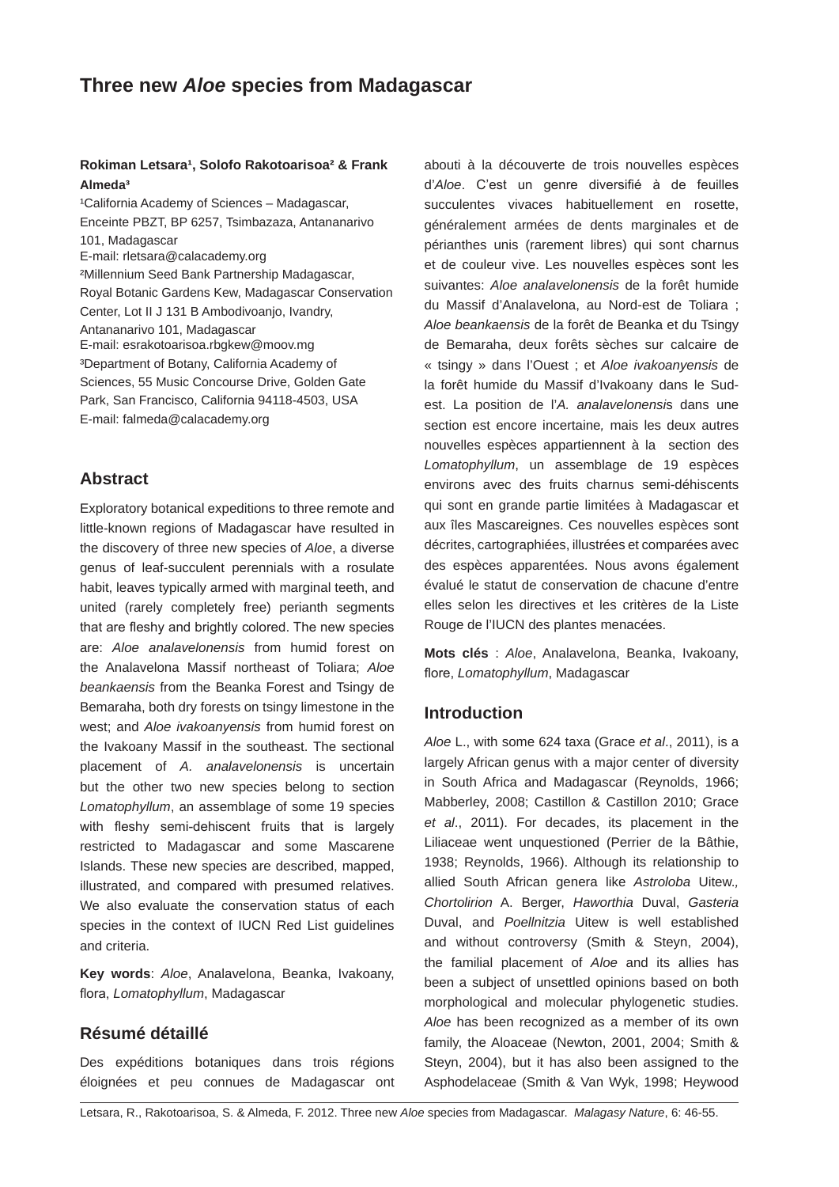#### Rokiman Letsara<sup>1</sup>, Solofo Rakotoarisoa<sup>2</sup> & Frank **Almeda³**

<sup>1</sup>California Academy of Sciences - Madagascar, Enceinte PBZT, BP 6257, Tsimbazaza, Antananarivo 101, Madagascar E-mail: rletsara@calacademy.org ²Millennium Seed Bank Partnership Madagascar, Royal Botanic Gardens Kew, Madagascar Conservation Center, Lot II J 131 B Ambodivoanjo, Ivandry, Antananarivo 101, Madagascar E-mail: esrakotoarisoa.rbgkew@moov.mg ³Department of Botany, California Academy of Sciences, 55 Music Concourse Drive, Golden Gate Park, San Francisco, California 94118-4503, USA E-mail: falmeda@calacademy.org

# **Abstract**

Exploratory botanical expeditions to three remote and little-known regions of Madagascar have resulted in the discovery of three new species of *Aloe*, a diverse genus of leaf-succulent perennials with a rosulate habit, leaves typically armed with marginal teeth, and united (rarely completely free) perianth segments that are fleshy and brightly colored. The new species are: *Aloe analavelonensis* from humid forest on the Analavelona Massif northeast of Toliara; *Aloe beankaensis* from the Beanka Forest and Tsingy de Bemaraha, both dry forests on tsingy limestone in the west; and *Aloe ivakoanyensis* from humid forest on the Ivakoany Massif in the southeast. The sectional placement of *A. analavelonensis* is uncertain but the other two new species belong to section *Lomatophyllum*, an assemblage of some 19 species with fleshy semi-dehiscent fruits that is largely restricted to Madagascar and some Mascarene Islands. These new species are described, mapped, illustrated, and compared with presumed relatives. We also evaluate the conservation status of each species in the context of IUCN Red List guidelines and criteria.

**Key words**: *Aloe*, Analavelona, Beanka, Ivakoany, flora, *Lomatophyllum*, Madagascar

## **Résumé détaillé**

Des expéditions botaniques dans trois régions éloignées et peu connues de Madagascar ont

abouti à la découverte de trois nouvelles espèces d'*Aloe*. C'est un genre diversifié à de feuilles succulentes vivaces habituellement en rosette, généralement armées de dents marginales et de périanthes unis (rarement libres) qui sont charnus et de couleur vive. Les nouvelles espèces sont les suivantes: *Aloe analavelonensis* de la forêt humide du Massif d'Analavelona, au Nord-est de Toliara ; *Aloe beankaensis* de la forêt de Beanka et du Tsingy de Bemaraha, deux forêts sèches sur calcaire de « tsingy » dans l'Ouest ; et *Aloe ivakoanyensis* de la forêt humide du Massif d'Ivakoany dans le Sudest. La position de l'*A. analavelonensi*s dans une section est encore incertaine*,* mais les deux autres nouvelles espèces appartiennent à lasection des *Lomatophyllum*, un assemblage de 19 espèces environs avec des fruits charnus semi-déhiscents qui sont en grande partie limitées à Madagascar et aux îles Mascareignes. Ces nouvelles espèces sont décrites, cartographiées, illustrées et comparées avec des espèces apparentées. Nous avons également évalué le statut de conservation de chacune d'entre elles selon les directives et les critères de la Liste Rouge de l'IUCN des plantes menacées.

**Mots clés** : *Aloe*, Analavelona, Beanka, Ivakoany, flore, *Lomatophyllum*, Madagascar

## **Introduction**

*Aloe* L., with some 624 taxa (Grace *et al*., 2011), is a largely African genus with a major center of diversity in South Africa and Madagascar (Reynolds, 1966; Mabberley, 2008; Castillon & Castillon 2010; Grace *et al*., 2011). For decades, its placement in the Liliaceae went unquestioned (Perrier de la Bâthie, 1938; Reynolds, 1966). Although its relationship to allied South African genera like *Astroloba* Uitew.*, Chortolirion* A. Berger, *Haworthia* Duval, *Gasteria* Duval, and *Poellnitzia* Uitew is well established and without controversy (Smith & Steyn, 2004), the familial placement of *Aloe* and its allies has been a subject of unsettled opinions based on both morphological and molecular phylogenetic studies. *Aloe* has been recognized as a member of its own family, the Aloaceae (Newton, 2001, 2004; Smith & Steyn, 2004), but it has also been assigned to the Asphodelaceae (Smith & Van Wyk, 1998; Heywood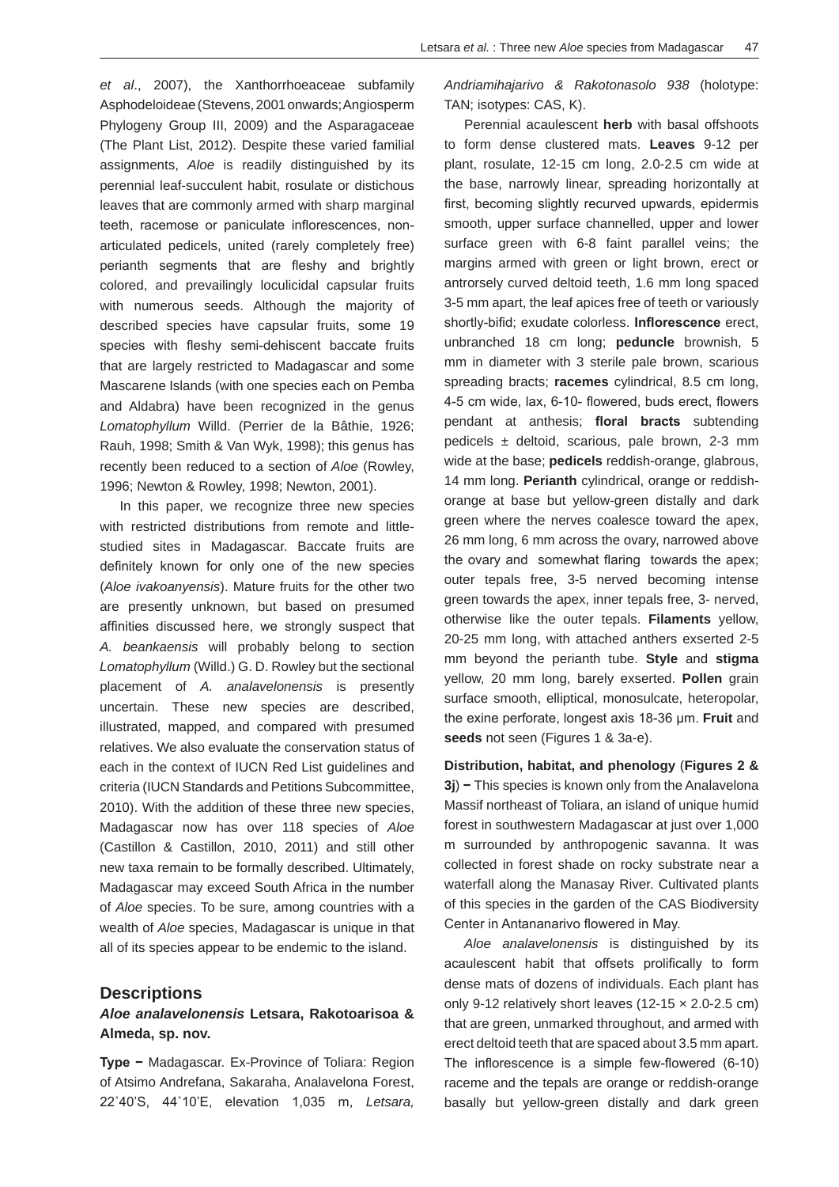*et al*., 2007), the Xanthorrhoeaceae subfamily Asphodeloideae (Stevens, 2001 onwards; Angiosperm Phylogeny Group III, 2009) and the Asparagaceae (The Plant List, 2012). Despite these varied familial assignments, *Aloe* is readily distinguished by its perennial leaf-succulent habit, rosulate or distichous leaves that are commonly armed with sharp marginal teeth, racemose or paniculate inflorescences, nonarticulated pedicels, united (rarely completely free) perianth segments that are fleshy and brightly colored, and prevailingly loculicidal capsular fruits with numerous seeds. Although the majority of described species have capsular fruits, some 19 species with fleshy semi-dehiscent baccate fruits that are largely restricted to Madagascar and some Mascarene Islands (with one species each on Pemba and Aldabra) have been recognized in the genus *Lomatophyllum* Willd. (Perrier de la Bâthie, 1926; Rauh, 1998; Smith & Van Wyk, 1998); this genus has recently been reduced to a section of *Aloe* (Rowley, 1996; Newton & Rowley, 1998; Newton, 2001).

In this paper, we recognize three new species with restricted distributions from remote and littlestudied sites in Madagascar. Baccate fruits are definitely known for only one of the new species (*Aloe ivakoanyensis*). Mature fruits for the other two are presently unknown, but based on presumed affinities discussed here, we strongly suspect that *A. beankaensis* will probably belong to section *Lomatophyllum* (Willd.) G. D. Rowley but the sectional placement of *A. analavelonensis* is presently uncertain. These new species are described, illustrated, mapped, and compared with presumed relatives. We also evaluate the conservation status of each in the context of IUCN Red List guidelines and criteria (IUCN Standards and Petitions Subcommittee, 2010). With the addition of these three new species, Madagascar now has over 118 species of *Aloe* (Castillon & Castillon, 2010, 2011) and still other new taxa remain to be formally described. Ultimately, Madagascar may exceed South Africa in the number of *Aloe* species. To be sure, among countries with a wealth of *Aloe* species, Madagascar is unique in that all of its species appear to be endemic to the island.

#### **Descriptions**

## *Aloe analavelonensis* **Letsara, Rakotoarisoa & Almeda, sp. nov.**

**Type −** Madagascar. Ex-Province of Toliara: Region of Atsimo Andrefana, Sakaraha, Analavelona Forest, 22˚40'S, 44˚10'E, elevation 1,035 m, *Letsara,* 

*Andriamihajarivo & Rakotonasolo 938* (holotype: TAN; isotypes: CAS, K).

Perennial acaulescent **herb** with basal offshoots to form dense clustered mats. **Leaves** 9-12 per plant, rosulate, 12-15 cm long, 2.0-2.5 cm wide at the base, narrowly linear, spreading horizontally at first, becoming slightly recurved upwards, epidermis smooth, upper surface channelled, upper and lower surface green with 6-8 faint parallel veins; the margins armed with green or light brown, erect or antrorsely curved deltoid teeth, 1.6 mm long spaced 3-5 mm apart, the leaf apices free of teeth or variously shortly-bifid; exudate colorless. **Inflorescence** erect, unbranched 18 cm long; **peduncle** brownish, 5 mm in diameter with 3 sterile pale brown, scarious spreading bracts; **racemes** cylindrical, 8.5 cm long, 4-5 cm wide, lax, 6-10- flowered, buds erect, flowers pendant at anthesis; **floral bracts** subtending pedicels  $\pm$  deltoid, scarious, pale brown, 2-3 mm wide at the base; **pedicels** reddish-orange, glabrous, 14 mm long. **Perianth** cylindrical, orange or reddishorange at base but yellow-green distally and dark green where the nerves coalesce toward the apex, 26 mm long, 6 mm across the ovary, narrowed above the ovary and somewhat flaring towards the apex; outer tepals free, 3-5 nerved becoming intense green towards the apex, inner tepals free, 3- nerved, otherwise like the outer tepals. **Filaments** yellow, 20-25 mm long, with attached anthers exserted 2-5 mm beyond the perianth tube. **Style** and **stigma** yellow, 20 mm long, barely exserted. **Pollen** grain surface smooth, elliptical, monosulcate, heteropolar, the exine perforate, longest axis 18-36 μm. **Fruit** and **seeds** not seen (Figures 1 & 3a-e).

**Distribution, habitat, and phenology** (**Figures 2 & 3j**) **−** This species is known only from the Analavelona Massif northeast of Toliara, an island of unique humid forest in southwestern Madagascar at just over 1,000 m surrounded by anthropogenic savanna. It was collected in forest shade on rocky substrate near a waterfall along the Manasay River. Cultivated plants of this species in the garden of the CAS Biodiversity Center in Antananarivo flowered in May.

*Aloe analavelonensis* is distinguished by its acaulescent habit that offsets prolifically to form dense mats of dozens of individuals. Each plant has only 9-12 relatively short leaves  $(12-15 \times 2.0-2.5 \text{ cm})$ that are green, unmarked throughout, and armed with erect deltoid teeth that are spaced about 3.5 mm apart. The inflorescence is a simple few-flowered (6-10) raceme and the tepals are orange or reddish-orange basally but yellow-green distally and dark green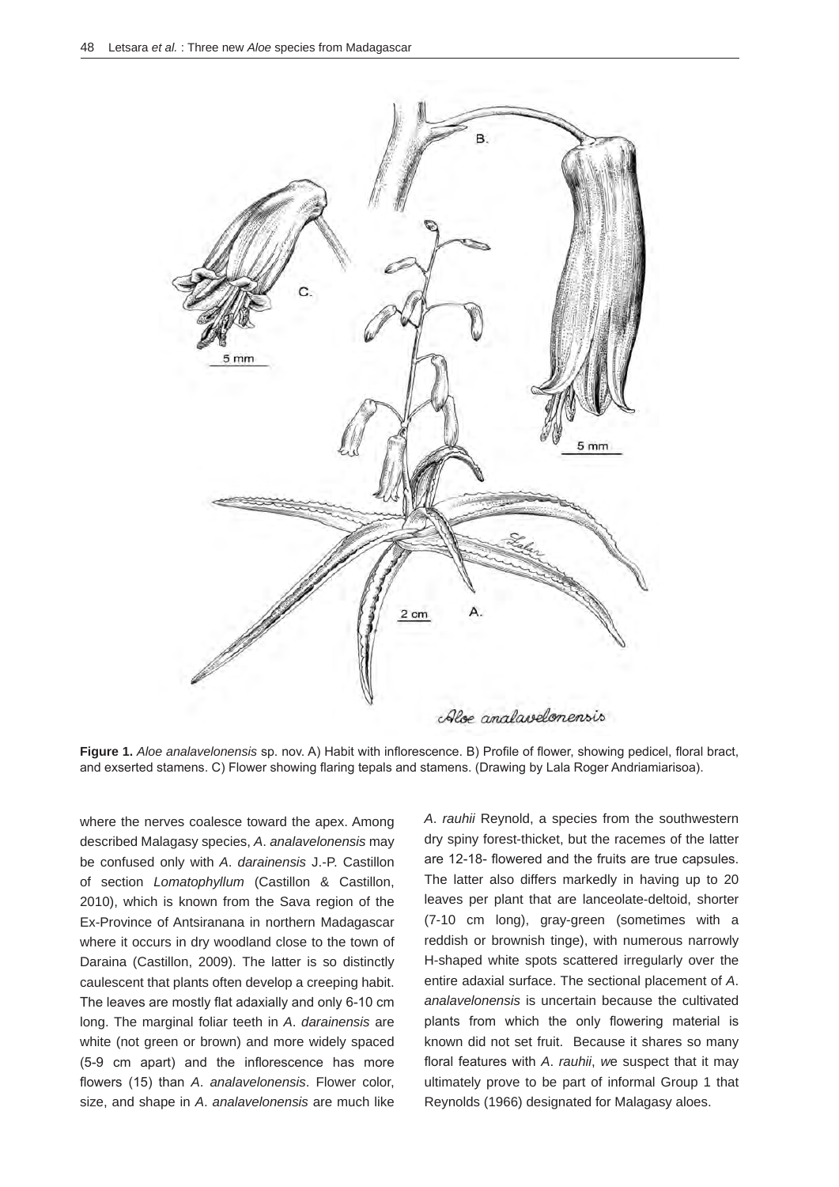

**Figure 1.** *Aloe analavelonensis* sp. nov. A) Habit with inflorescence. B) Profile of flower, showing pedicel, floral bract, and exserted stamens. C) Flower showing flaring tepals and stamens. (Drawing by Lala Roger Andriamiarisoa).

where the nerves coalesce toward the apex. Among described Malagasy species, *A*. *analavelonensis* may be confused only with *A*. *darainensis* J.-P. Castillon of section *Lomatophyllum* (Castillon & Castillon, 2010), which is known from the Sava region of the Ex-Province of Antsiranana in northern Madagascar where it occurs in dry woodland close to the town of Daraina (Castillon, 2009). The latter is so distinctly caulescent that plants often develop a creeping habit. The leaves are mostly flat adaxially and only 6-10 cm long. The marginal foliar teeth in *A*. *darainensis* are white (not green or brown) and more widely spaced (5-9 cm apart) and the inflorescence has more flowers (15) than *A*. *analavelonensis*. Flower color, size, and shape in *A*. *analavelonensis* are much like

*A*. *rauhii* Reynold, a species from the southwestern dry spiny forest-thicket, but the racemes of the latter are 12-18- flowered and the fruits are true capsules. The latter also differs markedly in having up to 20 leaves per plant that are lanceolate-deltoid, shorter (7-10 cm long), gray-green (sometimes with a reddish or brownish tinge), with numerous narrowly H-shaped white spots scattered irregularly over the entire adaxial surface. The sectional placement of *A*. *analavelonensis* is uncertain because the cultivated plants from which the only flowering material is known did not set fruit. Because it shares so many floral features with *A*. *rauhii*, *w*e suspect that it may ultimately prove to be part of informal Group 1 that Reynolds (1966) designated for Malagasy aloes.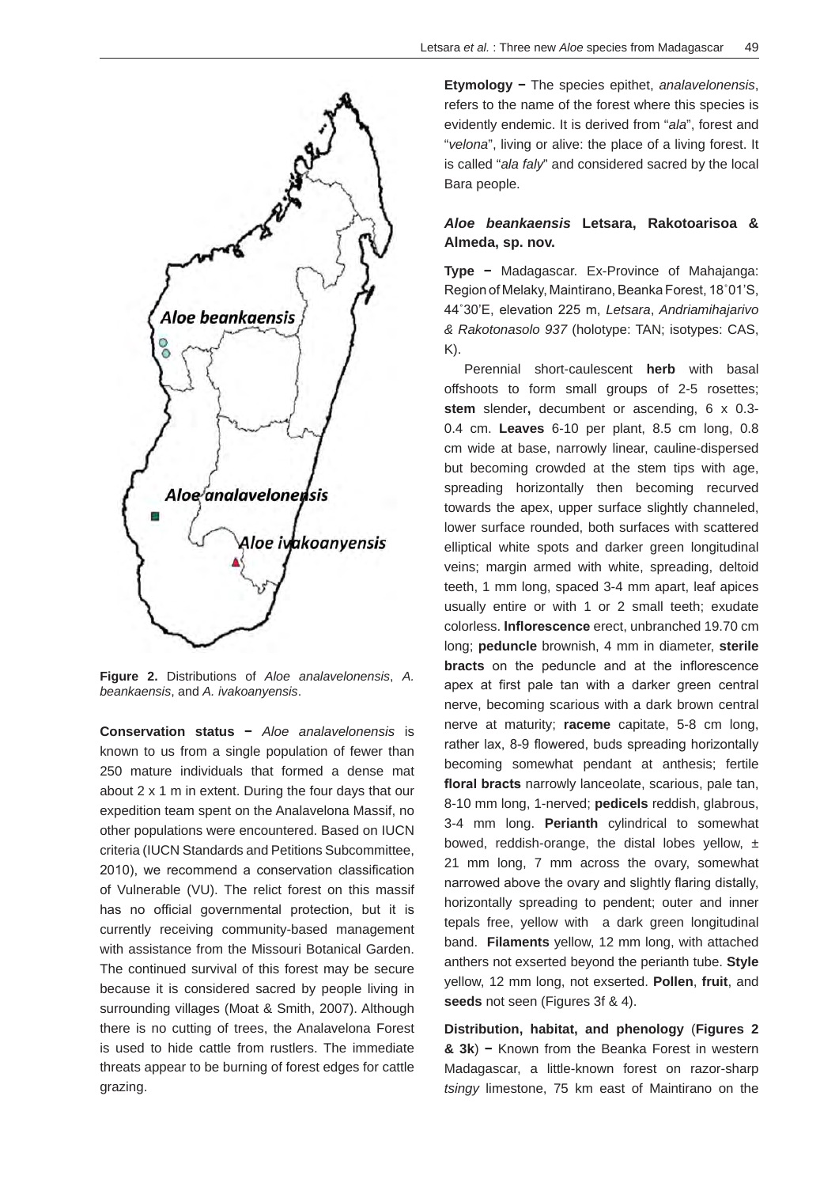

**Figure 2.** Distributions of *Aloe analavelonensis*, *A. beankaensis*, and *A. ivakoanyensis*.

**Conservation status −** *Aloe analavelonensis* is known to us from a single population of fewer than 250 mature individuals that formed a dense mat about 2 x 1 m in extent. During the four days that our expedition team spent on the Analavelona Massif, no other populations were encountered. Based on IUCN criteria (IUCN Standards and Petitions Subcommittee, 2010), we recommend a conservation classification of Vulnerable (VU). The relict forest on this massif has no official governmental protection, but it is currently receiving community-based management with assistance from the Missouri Botanical Garden. The continued survival of this forest may be secure because it is considered sacred by people living in surrounding villages (Moat & Smith, 2007). Although there is no cutting of trees, the Analavelona Forest is used to hide cattle from rustlers. The immediate threats appear to be burning of forest edges for cattle grazing.

**Etymology −** The species epithet, *analavelonensis*, refers to the name of the forest where this species is evidently endemic. It is derived from "*ala*", forest and "*velona*", living or alive: the place of a living forest. It is called "*ala faly*" and considered sacred by the local Bara people.

## *Aloe beankaensis* **Letsara, Rakotoarisoa & Almeda, sp. nov.**

**Type −** Madagascar. Ex-Province of Mahajanga: Region of Melaky, Maintirano, Beanka Forest, 18˚01'S, 44˚30'E, elevation 225 m, *Letsara*, *Andriamihajarivo & Rakotonasolo 937* (holotype: TAN; isotypes: CAS,  $K$ ).

Perennial short-caulescent **herb** with basal offshoots to form small groups of 2-5 rosettes; **stem** slender**,** decumbent or ascending, 6 x 0.3- 0.4 cm. **Leaves** 6-10 per plant, 8.5 cm long, 0.8 cm wide at base, narrowly linear, cauline-dispersed but becoming crowded at the stem tips with age, spreading horizontally then becoming recurved towards the apex, upper surface slightly channeled, lower surface rounded, both surfaces with scattered elliptical white spots and darker green longitudinal veins; margin armed with white, spreading, deltoid teeth, 1 mm long, spaced 3-4 mm apart, leaf apices usually entire or with 1 or 2 small teeth; exudate colorless. **Inflorescence** erect, unbranched 19.70 cm long; **peduncle** brownish, 4 mm in diameter, **sterile bracts** on the peduncle and at the inflorescence apex at first pale tan with a darker green central nerve, becoming scarious with a dark brown central nerve at maturity; **raceme** capitate, 5-8 cm long, rather lax, 8-9 flowered, buds spreading horizontally becoming somewhat pendant at anthesis; fertile **floral bracts** narrowly lanceolate, scarious, pale tan, 8-10 mm long, 1-nerved; **pedicels** reddish, glabrous, 3-4 mm long. **Perianth** cylindrical to somewhat bowed, reddish-orange, the distal lobes yellow,  $\pm$ 21 mm long, 7 mm across the ovary, somewhat narrowed above the ovary and slightly flaring distally, horizontally spreading to pendent; outer and inner tepals free, yellow with a dark green longitudinal band. **Filaments** yellow, 12 mm long, with attached anthers not exserted beyond the perianth tube. **Style**  yellow, 12 mm long, not exserted. **Pollen**, **fruit**, and **seeds** not seen (Figures 3f & 4).

**Distribution, habitat, and phenology** (**Figures 2 & 3k**) **−** Known from the Beanka Forest in western Madagascar, a little-known forest on razor-sharp *tsingy* limestone, 75 km east of Maintirano on the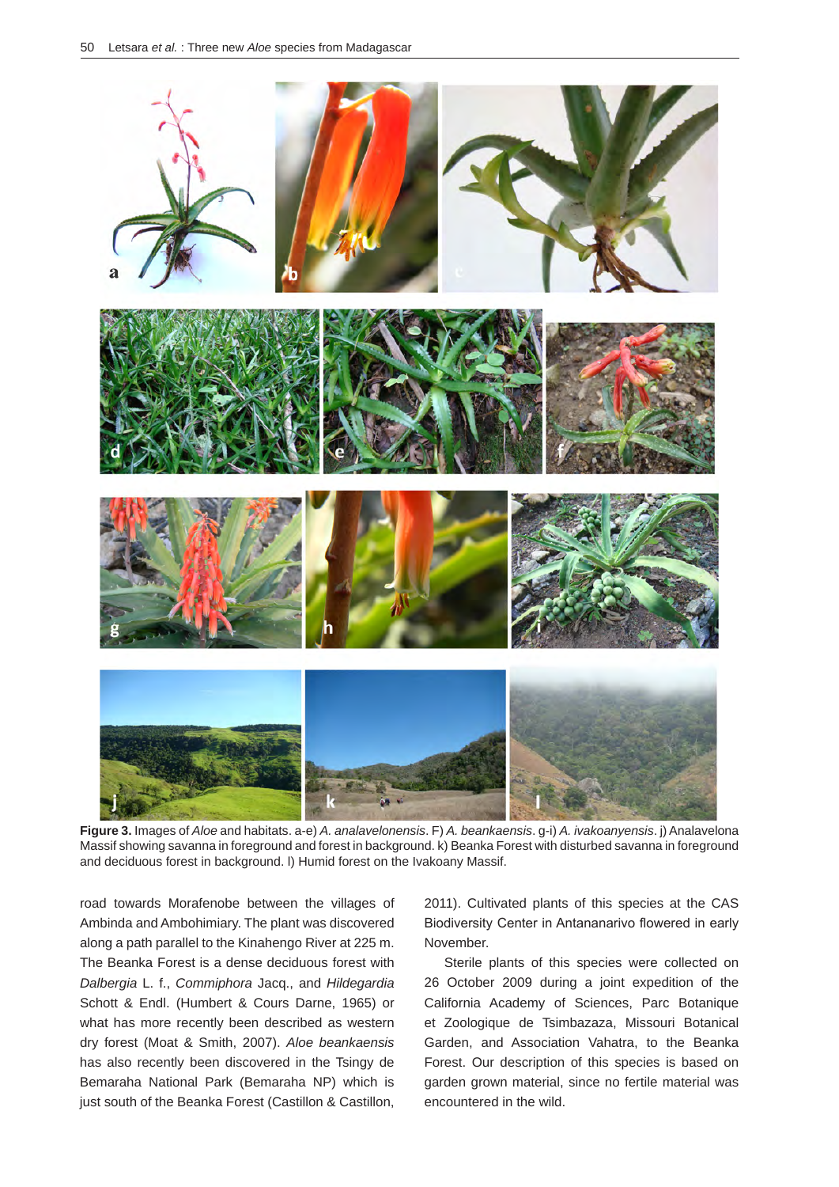

**Figure 3.** Images of *Aloe* and habitats. a-e) *A. analavelonensis*. F) *A. beankaensis*. g-i) *A. ivakoanyensis*. j) Analavelona Massif showing savanna in foreground and forest in background. k) Beanka Forest with disturbed savanna in foreground and deciduous forest in background. l) Humid forest on the Ivakoany Massif.

road towards Morafenobe between the villages of Ambinda and Ambohimiary. The plant was discovered along a path parallel to the Kinahengo River at 225 m. The Beanka Forest is a dense deciduous forest with *Dalbergia* L. f., *Commiphora* Jacq., and *Hildegardia* Schott & Endl. (Humbert & Cours Darne, 1965) or what has more recently been described as western dry forest (Moat & Smith, 2007). *Aloe beankaensis* has also recently been discovered in the Tsingy de Bemaraha National Park (Bemaraha NP) which is just south of the Beanka Forest (Castillon & Castillon,

2011). Cultivated plants of this species at the CAS Biodiversity Center in Antananarivo flowered in early November.

Sterile plants of this species were collected on 26 October 2009 during a joint expedition of the California Academy of Sciences, Parc Botanique et Zoologique de Tsimbazaza, Missouri Botanical Garden, and Association Vahatra, to the Beanka Forest. Our description of this species is based on garden grown material, since no fertile material was encountered in the wild.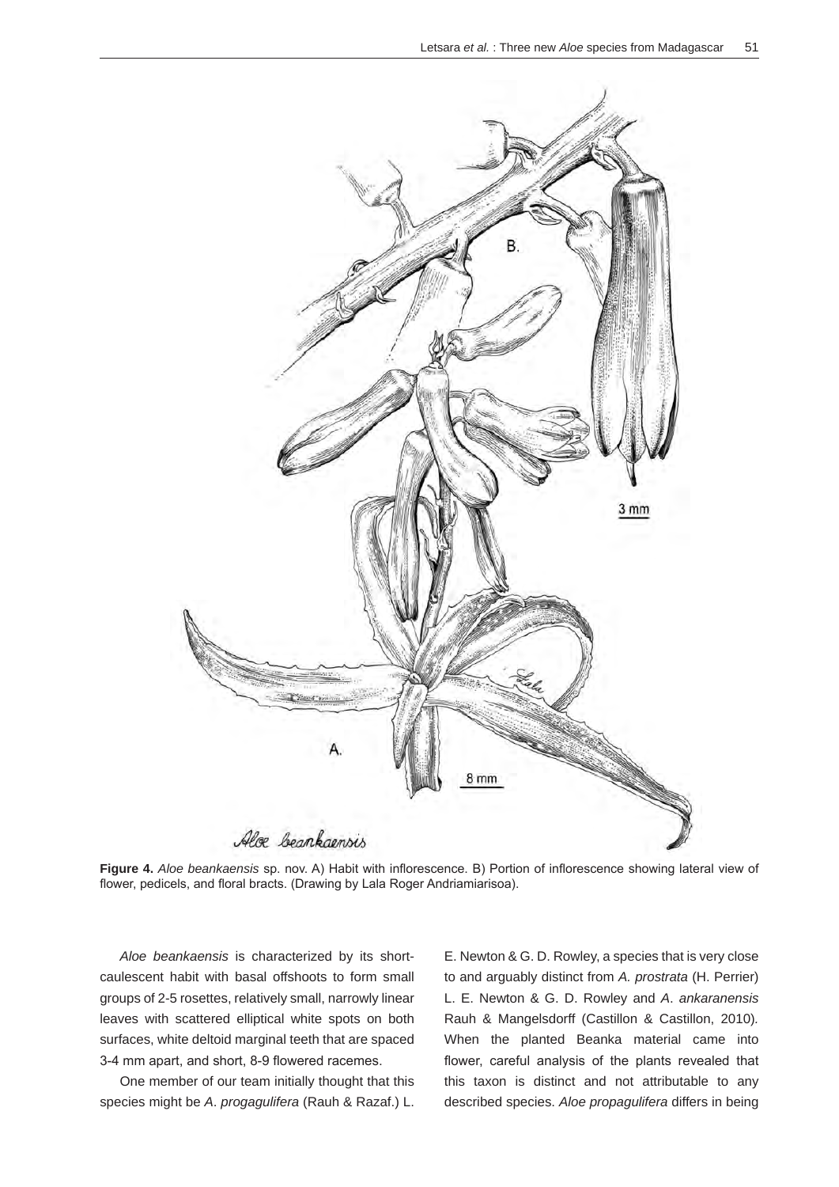

**Figure 4.** *Aloe beankaensis* sp. nov. A) Habit with inflorescence. B) Portion of inflorescence showing lateral view of flower, pedicels, and floral bracts. (Drawing by Lala Roger Andriamiarisoa).

*Aloe beankaensis* is characterized by its shortcaulescent habit with basal offshoots to form small groups of 2-5 rosettes, relatively small, narrowly linear leaves with scattered elliptical white spots on both surfaces, white deltoid marginal teeth that are spaced 3-4 mm apart, and short, 8-9 flowered racemes.

One member of our team initially thought that this species might be *A*. *progagulifera* (Rauh & Razaf.) L.

E. Newton & G. D. Rowley, a species that is very close to and arguably distinct from *A. prostrata* (H. Perrier) L. E. Newton & G. D. Rowley and *A*. *ankaranensis* Rauh & Mangelsdorff (Castillon & Castillon, 2010)*.*  When the planted Beanka material came into flower, careful analysis of the plants revealed that this taxon is distinct and not attributable to any described species. *Aloe propagulifera* differs in being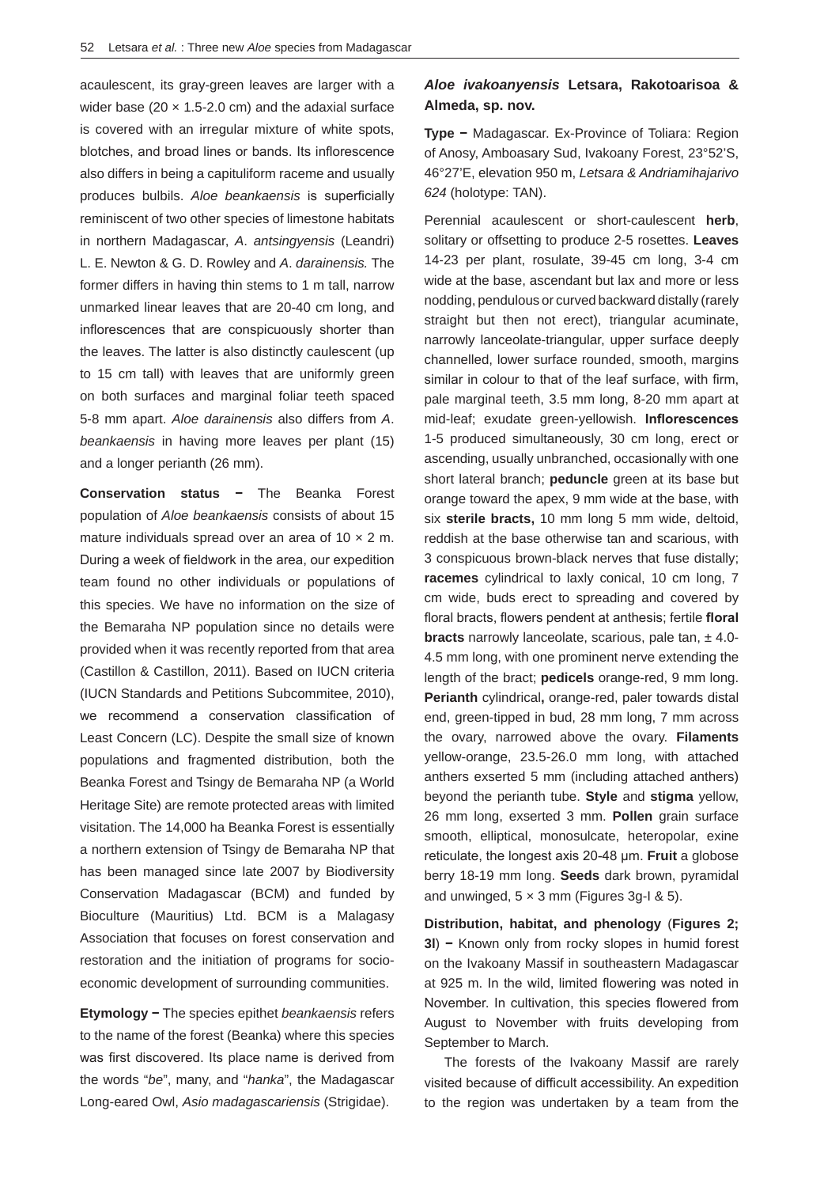acaulescent, its gray-green leaves are larger with a wider base (20  $\times$  1.5-2.0 cm) and the adaxial surface is covered with an irregular mixture of white spots, blotches, and broad lines or bands. Its inflorescence also differs in being a capituliform raceme and usually produces bulbils. *Aloe beankaensis* is superficially reminiscent of two other species of limestone habitats in northern Madagascar, *A*. *antsingyensis* (Leandri) L. E. Newton & G. D. Rowley and *A*. *darainensis.* The former differs in having thin stems to 1 m tall, narrow unmarked linear leaves that are 20-40 cm long, and inflorescences that are conspicuously shorter than the leaves. The latter is also distinctly caulescent (up to 15 cm tall) with leaves that are uniformly green on both surfaces and marginal foliar teeth spaced 5-8 mm apart. *Aloe darainensis* also differs from *A*. *beankaensis* in having more leaves per plant (15) and a longer perianth (26 mm).

**Conservation status −** The Beanka Forest population of *Aloe beankaensis* consists of about 15 mature individuals spread over an area of  $10 \times 2$  m. During a week of fieldwork in the area, our expedition team found no other individuals or populations of this species. We have no information on the size of the Bemaraha NP population since no details were provided when it was recently reported from that area (Castillon & Castillon, 2011). Based on IUCN criteria (IUCN Standards and Petitions Subcommitee, 2010), we recommend a conservation classification of Least Concern (LC). Despite the small size of known populations and fragmented distribution, both the Beanka Forest and Tsingy de Bemaraha NP (a World Heritage Site) are remote protected areas with limited visitation. The 14,000 ha Beanka Forest is essentially a northern extension of Tsingy de Bemaraha NP that has been managed since late 2007 by Biodiversity Conservation Madagascar (BCM) and funded by Bioculture (Mauritius) Ltd. BCM is a Malagasy Association that focuses on forest conservation and restoration and the initiation of programs for socioeconomic development of surrounding communities.

**Etymology −** The species epithet *beankaensis* refers to the name of the forest (Beanka) where this species was first discovered. Its place name is derived from the words "*be*", many, and "*hanka*", the Madagascar Long-eared Owl, *Asio madagascariensis* (Strigidae).

## *Aloe ivakoanyensis* **Letsara, Rakotoarisoa & Almeda, sp. nov.**

**Type −** Madagascar. Ex-Province of Toliara: Region of Anosy, Amboasary Sud, Ivakoany Forest, 23°52'S, 46°27'E, elevation 950 m, *Letsara & Andriamihajarivo 624* (holotype: TAN).

Perennial acaulescent or short-caulescent **herb**, solitary or offsetting to produce 2-5 rosettes. **Leaves**  14-23 per plant, rosulate, 39-45 cm long, 3-4 cm wide at the base, ascendant but lax and more or less nodding, pendulous or curved backward distally (rarely straight but then not erect), triangular acuminate, narrowly lanceolate-triangular, upper surface deeply channelled, lower surface rounded, smooth, margins similar in colour to that of the leaf surface, with firm, pale marginal teeth, 3.5 mm long, 8-20 mm apart at mid-leaf; exudate green-yellowish. **Inflorescences** 1-5 produced simultaneously, 30 cm long, erect or ascending, usually unbranched, occasionally with one short lateral branch; **peduncle** green at its base but orange toward the apex, 9 mm wide at the base, with six **sterile bracts,** 10 mm long 5 mm wide, deltoid, reddish at the base otherwise tan and scarious, with 3 conspicuous brown-black nerves that fuse distally; **racemes** cylindrical to laxly conical, 10 cm long, 7 cm wide, buds erect to spreading and covered by floral bracts, flowers pendent at anthesis; fertile **floral bracts** narrowly lanceolate, scarious, pale tan,  $\pm$  4.0-4.5 mm long, with one prominent nerve extending the length of the bract; **pedicels** orange-red, 9 mm long. **Perianth** cylindrical**,** orange-red, paler towards distal end, green-tipped in bud, 28 mm long, 7 mm across the ovary, narrowed above the ovary. **Filaments** yellow-orange, 23.5-26.0 mm long, with attached anthers exserted 5 mm (including attached anthers) beyond the perianth tube. **Style** and **stigma** yellow, 26 mm long, exserted 3 mm. **Pollen** grain surface smooth, elliptical, monosulcate, heteropolar, exine reticulate, the longest axis 20-48 μm. **Fruit** a globose berry 18-19 mm long. **Seeds** dark brown, pyramidal and unwinged,  $5 \times 3$  mm (Figures 3g-I & 5).

**Distribution, habitat, and phenology** (**Figures 2; 3l**) **−** Known only from rocky slopes in humid forest on the Ivakoany Massif in southeastern Madagascar at 925 m. In the wild, limited flowering was noted in November. In cultivation, this species flowered from August to November with fruits developing from September to March.

The forests of the Ivakoany Massif are rarely visited because of difficult accessibility. An expedition to the region was undertaken by a team from the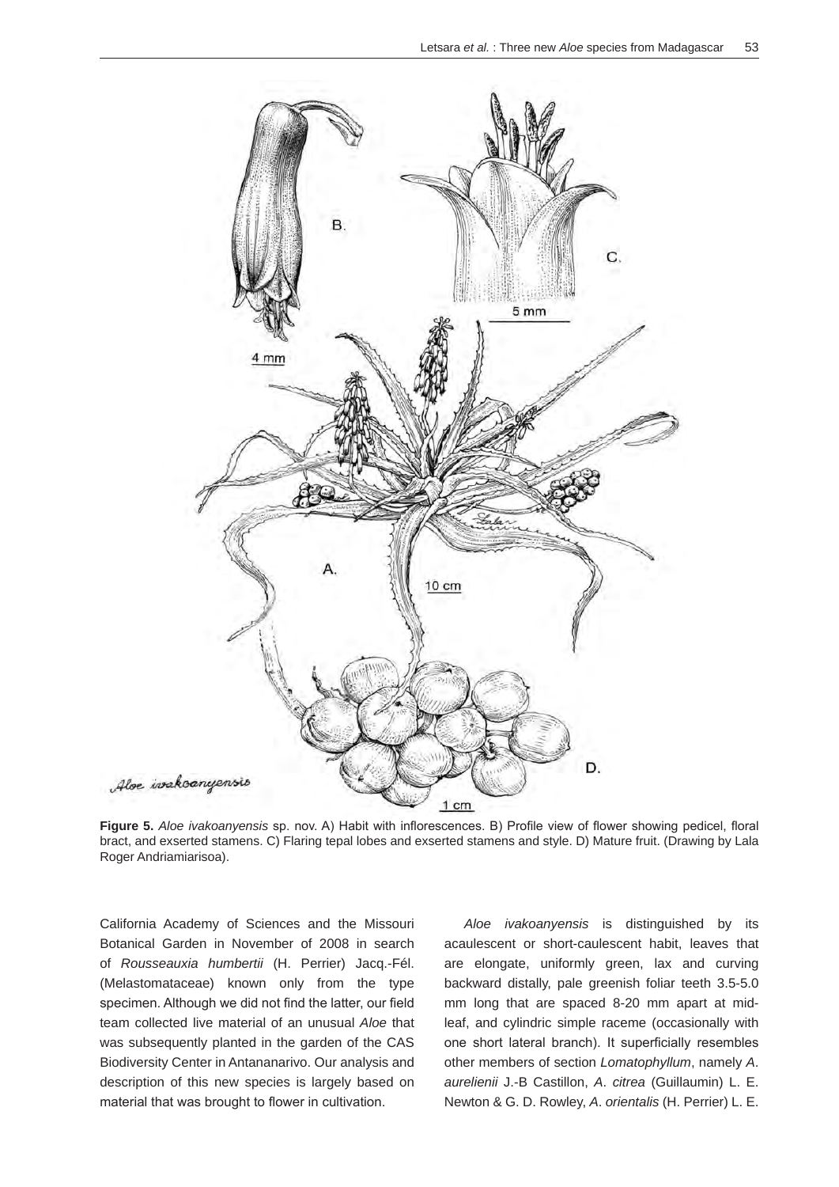

**Figure 5.** *Aloe ivakoanyensis* sp. nov. A) Habit with inflorescences. B) Profile view of flower showing pedicel, floral bract, and exserted stamens. C) Flaring tepal lobes and exserted stamens and style. D) Mature fruit. (Drawing by Lala Roger Andriamiarisoa).

California Academy of Sciences and the Missouri Botanical Garden in November of 2008 in search of *Rousseauxia humbertii* (H. Perrier) Jacq.-Fél. (Melastomataceae) known only from the type specimen. Although we did not find the latter, our field team collected live material of an unusual *Aloe* that was subsequently planted in the garden of the CAS Biodiversity Center in Antananarivo. Our analysis and description of this new species is largely based on material that was brought to flower in cultivation.

*Aloe ivakoanyensis* is distinguished by its acaulescent or short-caulescent habit, leaves that are elongate, uniformly green, lax and curving backward distally, pale greenish foliar teeth 3.5-5.0 mm long that are spaced 8-20 mm apart at midleaf, and cylindric simple raceme (occasionally with one short lateral branch). It superficially resembles other members of section *Lomatophyllum*, namely *A*. *aurelienii* J.-B Castillon, *A*. *citrea* (Guillaumin) L. E. Newton & G. D. Rowley, *A*. *orientalis* (H. Perrier) L. E.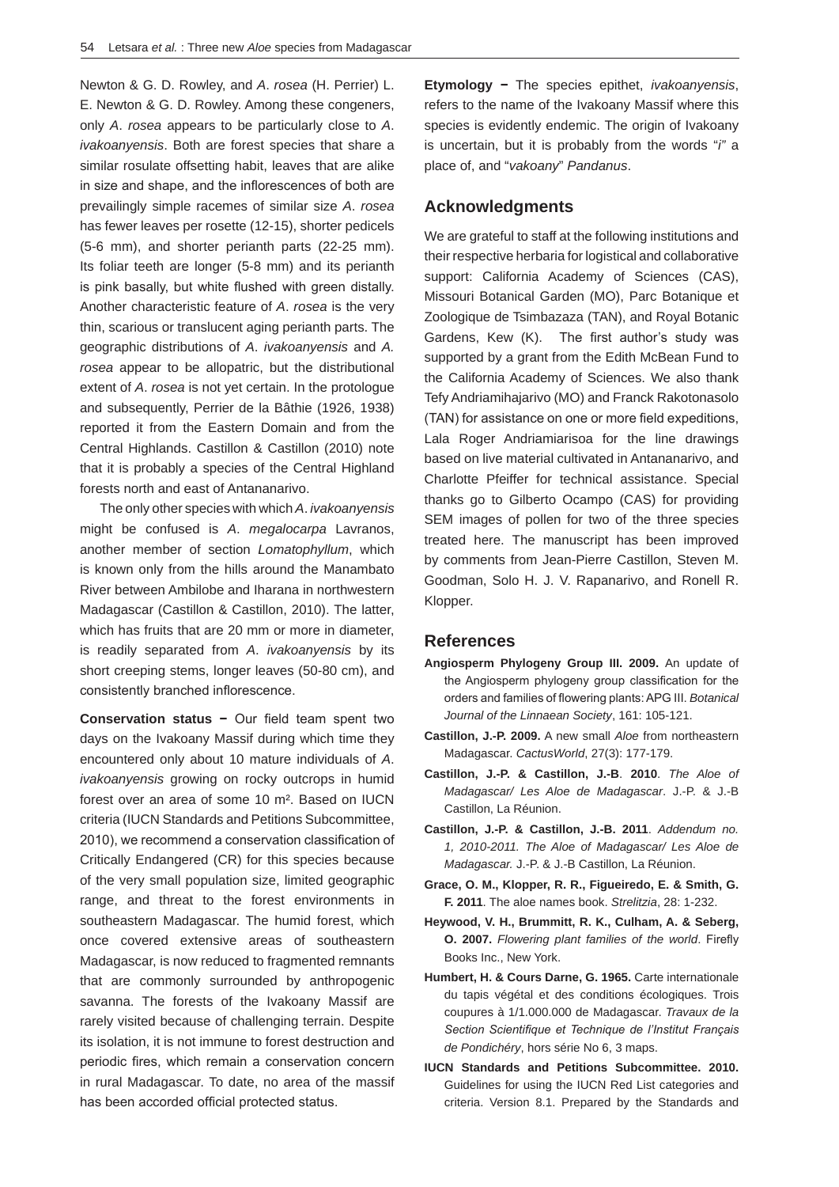Newton & G. D. Rowley, and *A*. *rosea* (H. Perrier) L. E. Newton & G. D. Rowley. Among these congeners, only *A*. *rosea* appears to be particularly close to *A*. *ivakoanyensis*. Both are forest species that share a similar rosulate offsetting habit, leaves that are alike in size and shape, and the inflorescences of both are prevailingly simple racemes of similar size *A*. *rosea*  has fewer leaves per rosette (12-15), shorter pedicels (5-6 mm), and shorter perianth parts (22-25 mm). Its foliar teeth are longer (5-8 mm) and its perianth is pink basally, but white flushed with green distally. Another characteristic feature of *A*. *rosea* is the very thin, scarious or translucent aging perianth parts. The geographic distributions of *A*. *ivakoanyensis* and *A. rosea* appear to be allopatric, but the distributional extent of *A*. *rosea* is not yet certain. In the protologue and subsequently, Perrier de la Bâthie (1926, 1938) reported it from the Eastern Domain and from the Central Highlands. Castillon & Castillon (2010) note that it is probably a species of the Central Highland forests north and east of Antananarivo.

The only other species with which *A*. *ivakoanyensis*  might be confused is *A*. *megalocarpa* Lavranos, another member of section *Lomatophyllum*, which is known only from the hills around the Manambato River between Ambilobe and Iharana in northwestern Madagascar (Castillon & Castillon, 2010). The latter, which has fruits that are 20 mm or more in diameter, is readily separated from *A*. *ivakoanyensis* by its short creeping stems, longer leaves (50-80 cm), and consistently branched inflorescence.

**Conservation status −** Our field team spent two days on the Ivakoany Massif during which time they encountered only about 10 mature individuals of *A*. *ivakoanyensis* growing on rocky outcrops in humid forest over an area of some 10 m². Based on IUCN criteria (IUCN Standards and Petitions Subcommittee, 2010), we recommend a conservation classification of Critically Endangered (CR) for this species because of the very small population size, limited geographic range, and threat to the forest environments in southeastern Madagascar. The humid forest, which once covered extensive areas of southeastern Madagascar, is now reduced to fragmented remnants that are commonly surrounded by anthropogenic savanna. The forests of the Ivakoany Massif are rarely visited because of challenging terrain. Despite its isolation, it is not immune to forest destruction and periodic fires, which remain a conservation concern in rural Madagascar. To date, no area of the massif has been accorded official protected status.

**Etymology −** The species epithet, *ivakoanyensis*, refers to the name of the Ivakoany Massif where this species is evidently endemic. The origin of Ivakoany is uncertain, but it is probably from the words "*i"* a place of, and "*vakoany*" *Pandanus*.

#### **Acknowledgments**

We are grateful to staff at the following institutions and their respective herbaria for logistical and collaborative support: California Academy of Sciences (CAS), Missouri Botanical Garden (MO), Parc Botanique et Zoologique de Tsimbazaza (TAN), and Royal Botanic Gardens, Kew (K). The first author's study was supported by a grant from the Edith McBean Fund to the California Academy of Sciences. We also thank Tefy Andriamihajarivo (MO) and Franck Rakotonasolo (TAN) for assistance on one or more field expeditions, Lala Roger Andriamiarisoa for the line drawings based on live material cultivated in Antananarivo, and Charlotte Pfeiffer for technical assistance. Special thanks go to Gilberto Ocampo (CAS) for providing SEM images of pollen for two of the three species treated here. The manuscript has been improved by comments from Jean-Pierre Castillon, Steven M. Goodman, Solo H. J. V. Rapanarivo, and Ronell R. Klopper.

### **References**

- **Angiosperm Phylogeny Group III. 2009.** An update of the Angiosperm phylogeny group classification for the orders and families of flowering plants: APG III. *Botanical Journal of the Linnaean Society*, 161: 105-121.
- **Castillon, J.-P. 2009.** A new small *Aloe* from northeastern Madagascar. *CactusWorld*, 27(3): 177-179.
- **Castillon, J.-P. & Castillon, J.-B**. **2010**. *The Aloe of Madagascar/ Les Aloe de Madagascar*. J.-P. & J.-B Castillon, La Réunion.
- **Castillon, J.-P. & Castillon, J.-B. 2011**. *Addendum no. 1, 2010-2011. The Aloe of Madagascar/ Les Aloe de Madagascar.* J.-P. & J.-B Castillon, La Réunion.
- **Grace, O. M., Klopper, R. R., Figueiredo, E. & Smith, G. F. 2011**. The aloe names book. *Strelitzia*, 28: 1-232.
- **Heywood, V. H., Brummitt, R. K., Culham, A. & Seberg, O. 2007.** *Flowering plant families of the world*. Firefly Books Inc., New York.
- **Humbert, H. & Cours Darne, G. 1965.** Carte internationale du tapis végétal et des conditions écologiques. Trois coupures à 1/1.000.000 de Madagascar. *Travaux de la Section Scientifique et Technique de l'Institut Français de Pondichéry*, hors série No 6, 3 maps.
- **IUCN Standards and Petitions Subcommittee. 2010.** Guidelines for using the IUCN Red List categories and criteria. Version 8.1. Prepared by the Standards and